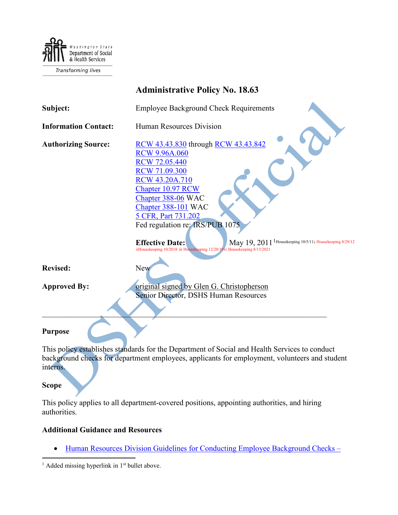

|                             | <b>Administrative Policy No. 18.63</b>                                                                                                                                                  |
|-----------------------------|-----------------------------------------------------------------------------------------------------------------------------------------------------------------------------------------|
| Subject:                    | <b>Employee Background Check Requirements</b>                                                                                                                                           |
| <b>Information Contact:</b> | <b>Human Resources Division</b>                                                                                                                                                         |
| <b>Authorizing Source:</b>  | RCW 43.43.830 through RCW 43.43.842<br><b>RCW 9.96A.060</b><br><b>RCW 72.05.440</b>                                                                                                     |
|                             | <b>RCW 71.09.300</b><br><b>RCW 43.20A.710</b><br>Chapter 10.97 RCW<br>Chapter 388-06 WAC                                                                                                |
|                             | Chapter 388-101 WAC<br>5 CFR, Part 731.202                                                                                                                                              |
|                             | Fed regulation re: IRS/PUB 1075                                                                                                                                                         |
|                             | May 19, 2011 <sup>1</sup> Housekeeping 10/5/11 <sub>i</sub> Housekeeping 8/29/12<br><b>Effective Date:</b><br>iiHousekeeping 10/2018 iii Housekeeping 12/20/19iv Housekeeping 8/13/2021 |
| <b>Revised:</b>             | New                                                                                                                                                                                     |
| <b>Approved By:</b>         | original signed by Glen G. Christopherson                                                                                                                                               |
|                             | Senior Director, DSHS Human Resources                                                                                                                                                   |
|                             |                                                                                                                                                                                         |
| <b>Purpose</b>              |                                                                                                                                                                                         |
|                             | This policy establishes standards for the Department of Social and Health Services to conduct                                                                                           |
| interns.                    | background checks for department employees, applicants for employment, volunteers and student                                                                                           |

# **Scope**

This policy applies to all department-covered positions, appointing authorities, and hiring authorities.

#### **Additional Guidance and Resources**

• [Human Resources Division Guidelines for Conducting Employee Background Checks –](http://one.dshs.wa.lcl/HR/Guidelines/Background%20Check%20Guidelines%20(November%202019).pdf)

<span id="page-0-0"></span> $1$  Added missing hyperlink in  $1<sup>st</sup>$  bullet above.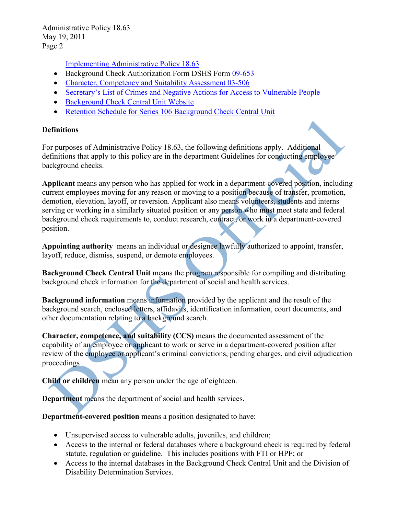[Implementing Administrative Policy 18.63](http://one.dshs.wa.lcl/HR/Guidelines/Background%20Check%20Guidelines%20(November%202019).pdf)

- Background Check Authorization Form DSHS Form [09-653](http://forms.dshs.wa.lcl/)
- Character, Competency and Suitability Assessment [03-506](http://forms.dshs.wa.lcl/)
- [Secretary's List of Crimes and Negative Actions for Access to Vulnerable People](https://www.dshs.wa.gov/ffa/disqualifying-list-crimes-and-negative-actions)
- [Background Check Central Unit Website](http://one.dshs.wa.lcl/FS/OSS/BCCU/Pages/default.aspx)
- [Retention Schedule for Series 106 Background Check Central Unit](https://www.sos.wa.gov/archives/recordsmanagement/state-agencies-records-retention-schedules.aspx)

#### **Definitions**

For purposes of Administrative Policy 18.63, the following definitions apply. Additional definitions that apply to this policy are in the department Guidelines for conducting employee background checks.

**Applicant** means any person who has applied for work in a department-covered position, including current employees moving for any reason or moving to a position because of transfer, promotion, demotion, elevation, layoff, or reversion. Applicant also means volunteers, students and interns serving or working in a similarly situated position or any person who must meet state and federal background check requirements to, conduct research, contract, or work in a department-covered position.

**Appointing authority** means an individual or designee lawfully authorized to appoint, transfer, layoff, reduce, dismiss, suspend, or demote employees.

**Background Check Central Unit** means the program responsible for compiling and distributing background check information for the department of social and health services.

**Background information** means information provided by the applicant and the result of the background search, enclosed letters, affidavits, identification information, court documents, and other documentation relating to a background search.

**Character, competence, and suitability (CCS)** means the documented assessment of the capability of an employee or applicant to work or serve in a department-covered position after review of the employee or applicant's criminal convictions, pending charges, and civil adjudication proceedings

**Child or children** mean any person under the age of eighteen.

**Department** means the department of social and health services.

**Department-covered position** means a position designated to have:

- Unsupervised access to vulnerable adults, juveniles, and children;
- Access to the internal or federal databases where a background check is required by federal statute, regulation or guideline. This includes positions with FTI or HPF; or
- Access to the internal databases in the Background Check Central Unit and the Division of Disability Determination Services.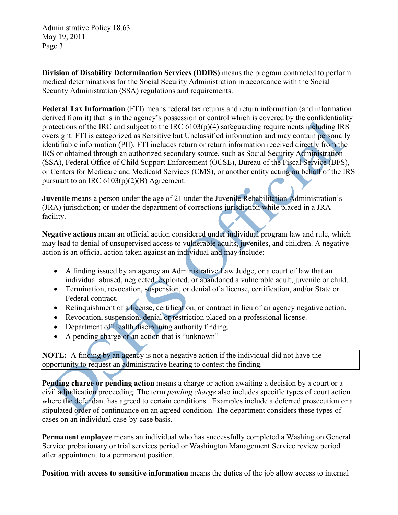**Division of Disability Determination Services (DDDS)** means the program contracted to perform medical determinations for the Social Security Administration in accordance with the Social Security Administration (SSA) regulations and requirements.

**Federal Tax Information** (FTI) means federal tax returns and return information (and information derived from it) that is in the agency's possession or control which is covered by the confidentiality protections of the IRC and subject to the IRC 6103(p)(4) safeguarding requirements including IRS oversight. FTI is categorized as Sensitive but Unclassified information and may contain personally identifiable information (PII). FTI includes return or return information received directly from the IRS or obtained through an authorized secondary source, such as Social Security Administration (SSA), Federal Office of Child Support Enforcement (OCSE), Bureau of the Fiscal Service (BFS), or Centers for Medicare and Medicaid Services (CMS), or another entity acting on behalf of the IRS pursuant to an IRC  $6103(p)(2)(B)$  Agreement.

**Juvenile** means a person under the age of 21 under the Juvenile Rehabilitation Administration's (JRA) jurisdiction; or under the department of corrections jurisdiction while placed in a JRA facility.

**Negative actions** mean an official action considered under individual program law and rule, which may lead to denial of unsupervised access to vulnerable adults, juveniles, and children. A negative action is an official action taken against an individual and may include:

- A finding issued by an agency an Administrative Law Judge, or a court of law that an individual abused, neglected, exploited, or abandoned a vulnerable adult, juvenile or child.
- Termination, revocation, suspension, or denial of a license, certification, and/or State or Federal contract.
- Relinquishment of a license, certification, or contract in lieu of an agency negative action.
- Revocation, suspension, denial or restriction placed on a professional license.
- Department of Health disciplining authority finding.
- A pending charge or an action that is "unknown"

**NOTE:** A finding by an agency is not a negative action if the individual did not have the opportunity to request an administrative hearing to contest the finding.

**Pending charge or pending action** means a charge or action awaiting a decision by a court or a civil adjudication proceeding. The term *pending charge* also includes specific types of court action where the defendant has agreed to certain conditions. Examples include a deferred prosecution or a stipulated order of continuance on an agreed condition. The department considers these types of cases on an individual case-by-case basis.

**Permanent employee** means an individual who has successfully completed a Washington General Service probationary or trial services period or Washington Management Service review period after appointment to a permanent position.

**Position with access to sensitive information** means the duties of the job allow access to internal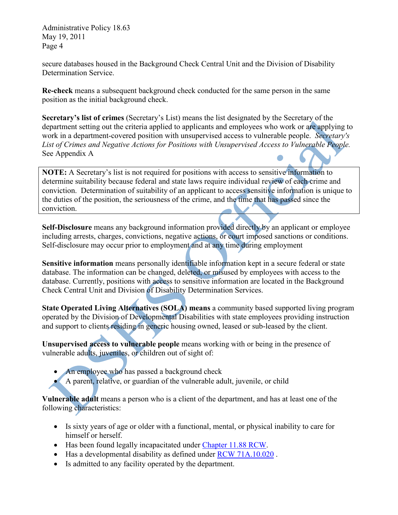<span id="page-3-0"></span>secure databases housed in the Background Check Central Unit and the Division of Disability Determination Service.

<span id="page-3-2"></span><span id="page-3-1"></span>**Re-check** means a subsequent background check conducted for the same person in the same position as the initial background check.

<span id="page-3-3"></span>**Secretary's list of crimes** (Secretary's List) means the list designated by the Secretary of the department setting out the criteria applied to applicants and employees who work or are applying to work in a department-covered position with unsupervised access to vulnerable people. *Secretary's List of Crimes and Negative Actions for Positions with Unsupervised Access to Vulnerable People.*  See Appendix A

**NOTE:** A Secretary's list is not required for positions with access to sensitive information to determine suitability because federal and state laws require individual review of each crime and conviction. Determination of suitability of an applicant to access sensitive information is unique to the duties of the position, the seriousness of the crime, and the time that has passed since the conviction.

**Self-Disclosure** means any background information provided directly by an applicant or employee including arrests, charges, convictions, negative actions, or court imposed sanctions or conditions. Self-disclosure may occur prior to employment and at any time during employment

**Sensitive information** means personally identifiable information kept in a secure federal or state database. The information can be changed, deleted, or misused by employees with access to the database. Currently, positions with access to sensitive information are located in the Background Check Central Unit and Division of Disability Determination Services.

**State Operated Living Alternatives (SOLA) means** a community based supported living program operated by the Division of Developmental Disabilities with state employees providing instruction and support to clients residing in generic housing owned, leased or sub-leased by the client.

**Unsupervised access to vulnerable people** means working with or being in the presence of vulnerable adults, juveniles, or children out of sight of:

- An employee who has passed a background check
- A parent, relative, or guardian of the vulnerable adult, juvenile, or child

**Vulnerable adult** means a person who is a client of the department, and has at least one of the following characteristics:

- Is sixty years of age or older with a functional, mental, or physical inability to care for himself or herself.
- Has been found legally incapacitated under [Chapter 11.88 RCW.](http://apps.leg.wa.gov/RCW/default.aspx?cite=11.88)
- Has a developmental disability as defined under [RCW 71A.10.020](http://apps.leg.wa.gov/RCW/default.aspx?cite=71A.10.020) .
- Is admitted to any facility operated by the department.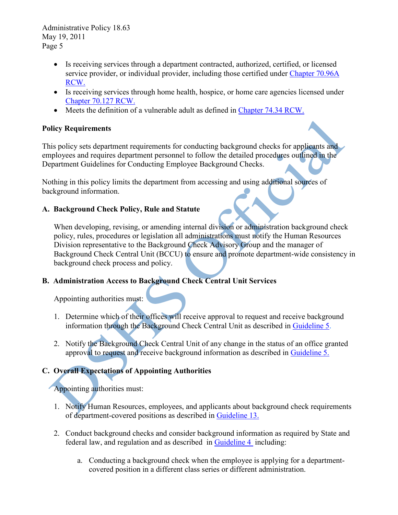- Is receiving services through a department contracted, authorized, certified, or licensed service provider, or individual provider, including those certified under [Chapter 70.96A](http://apps.leg.wa.gov/RCW/default.aspx?cite=70.96A)  [RCW.](http://apps.leg.wa.gov/RCW/default.aspx?cite=70.96A)
- Is receiving services through home health, hospice, or home care agencies licensed under [Chapter 70.127 RCW.](http://apps.leg.wa.gov/RCW/default.aspx?cite=70.127)
- Meets the definition of a vulnerable adult as defined in [Chapter 74.34 RCW.](http://apps.leg.wa.gov/RCW/default.aspx?cite=74.34)

#### **Policy Requirements**

This policy sets department requirements for conducting background checks for applicants and employees and requires department personnel to follow the detailed procedures outlined in the Department Guidelines for Conducting Employee Background Checks.

Nothing in this policy limits the department from accessing and using additional sources of background information.

### **A. Background Check Policy, Rule and Statute**

When developing, revising, or amending internal division or administration background check policy, rules, procedures or legislation all administrations must notify the Human Resources Division representative to the Background Check Advisory Group and the manager of Background Check Central Unit (BCCU) to ensure and promote department-wide consistency in background check process and policy.

## **B. Administration Access to Background Check Central Unit Services**

Appointing authorities must:

- 1. Determine which of their offices will receive approval to request and receive background information through the Background Check Central Unit as described in [Guideline 5.](http://one.dshs.wa.lcl/HR/Guidelines/Background%20Check%20Guidelines%20(November%202019).pdf)
- 2. Notify the Background Check Central Unit of any change in the status of an office granted approval to request and receive background information as described in [Guideline 5.](http://one.dshs.wa.lcl/HR/Guidelines/Background%20Check%20Guidelines%20(November%202019).pdf)

## **C. Overall Expectations of Appointing Authorities**

## Appointing authorities must:

- 1. Notify Human Resources, employees, and applicants about background check requirements of department-covered positions as described in [Guideline 13.](http://one.dshs.wa.lcl/HR/Guidelines/Background%20Check%20Guidelines%20(November%202019).pdf)
- 2. Conduct background checks and consider background information as required by State and federal law, and regulation and as described in [Guideline 4](http://one.dshs.wa.lcl/HR/Guidelines/Background%20Check%20Guidelines%20(November%202019).pdf) including:
	- a. Conducting a background check when the employee is applying for a departmentcovered position in a different class series or different administration.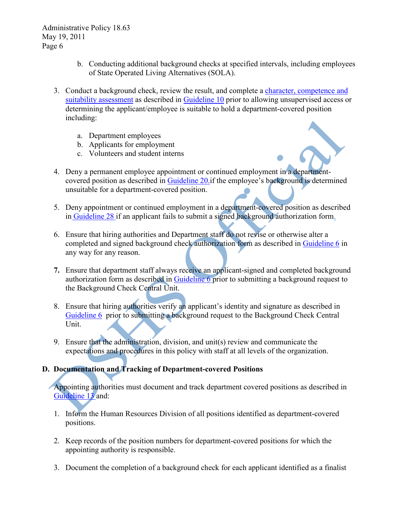- b. Conducting additional background checks at specified intervals, including employees of State Operated Living Alternatives (SOLA).
- 3. Conduct a background check, review the result, and complete a [character, competence and](http://forms.dshs.wa.lcl/)  [suitability assessment](http://forms.dshs.wa.lcl/) as described in [Guideline 10](http://one.dshs.wa.lcl/HR/Guidelines/Background%20Check%20Guidelines%20(November%202019).pdf) prior to allowing unsupervised access or determining the applicant/employee is suitable to hold a department-covered position including:
	- a. Department employees
	- b. Applicants for employment
	- c. Volunteers and student interns
- 4. Deny a permanent employee appointment or continued employment in a departmentcovered position as described in [Guideline 20.i](http://one.dshs.wa.lcl/HR/Guidelines/Background%20Check%20Guidelines%20(November%202019).pdf)f the employee's background is determined unsuitable for a department-covered position.
- 5. Deny appointment or continued employment in a department-covered position as described in [Guideline 28](http://one.dshs.wa.lcl/HR/Guidelines/Background%20Check%20Guidelines%20(November%202019).pdf) if an applicant fails to submit a signed background authorization form.
- 6. Ensure that hiring authorities and Department staff do not revise or otherwise alter a completed and signed background check authorization form as described in [Guideline 6](http://one.dshs.wa.lcl/HR/Guidelines/Background%20Check%20Guidelines%20(November%202019).pdf) in any way for any reason.
- **7.** Ensure that department staff always receive an applicant-signed and completed background authorization form as described in [Guideline 6](http://one.dshs.wa.lcl/HR/Guidelines/Background%20Check%20Guidelines%20(November%202019).pdf) prior to submitting a background request to the Background Check Central Unit.
- 8. Ensure that hiring authorities verify an applicant's identity and signature as described in [Guideline 6](http://one.dshs.wa.lcl/HR/Guidelines/Background%20Check%20Guidelines%20(November%202019).pdf) prior to submitting a background request to the Background Check Central Unit.
- 9. Ensure that the administration, division, and unit(s) review and communicate the expectations and procedures in this policy with staff at all levels of the organization.

### **D. Documentation and Tracking of Department-covered Positions**

Appointing authorities must document and track department covered positions as described in [Guideline 13](http://one.dshs.wa.lcl/HR/Guidelines/Background%20Check%20Guidelines%20(November%202019).pdf) and:

- 1. Inform the Human Resources Division of all positions identified as department-covered positions.
- 2. Keep records of the position numbers for department-covered positions for which the appointing authority is responsible.
- 3. Document the completion of a background check for each applicant identified as a finalist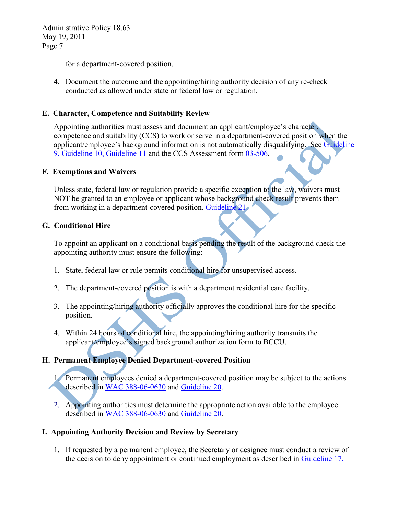for a department-covered position.

4. Document the outcome and the appointing/hiring authority decision of any re-check conducted as allowed under state or federal law or regulation.

#### **E. Character, Competence and Suitability Review**

Appointing authorities must assess and document an applicant/employee's character, competence and suitability (CCS) to work or serve in a department-covered position when the applicant/employee's background information is not automatically disqualifying. See [Guideline](http://one.dshs.wa.lcl/HR/Guidelines/Background%20Check%20Guidelines%20(November%202019).pdf)  [9, Guideline 10, Guideline 11](http://one.dshs.wa.lcl/HR/Guidelines/Background%20Check%20Guidelines%20(November%202019).pdf) and the CCS Assessment form [03-506.](http://forms.dshs.wa.lcl/)

#### **F. Exemptions and Waivers**

Unless state, federal law or regulation provide a specific exception to the law, waivers must NOT be granted to an employee or applicant whose background check result prevents them from working in a department-covered position. [Guideline](http://one.dshs.wa.lcl/HR/Guidelines/Background%20Check%20Guidelines%20(November%202019).pdf) 21.

#### **G. Conditional Hire**

To appoint an applicant on a conditional basis pending the result of the background check the appointing authority must ensure the following:

- 1. State, federal law or rule permits conditional hire for unsupervised access.
- 2. The department-covered position is with a department residential care facility.
- 3. The appointing/hiring authority officially approves the conditional hire for the specific position.
- 4. Within 24 hours of conditional hire, the appointing/hiring authority transmits the applicant/employee's signed background authorization form to BCCU.

## **H. Permanent Employee Denied Department-covered Position**

1. Permanent employees denied a department-covered position may be subject to the actions described in [WAC 388-06-0630](http://apps.leg.wa.gov/WAC/default.aspx?cite=388-06-0630) and [Guideline 20](http://one.dshs.wa.lcl/HR/Guidelines/Background%20Check%20Guidelines%20(November%202019).pdf).

2. Appointing authorities must determine the appropriate action available to the employee described in [WAC 388-06-0630](http://apps.leg.wa.gov/WAC/default.aspx?cite=388-06-0630) and [Guideline 20](http://one.dshs.wa.lcl/HR/Guidelines/Background%20Check%20Guidelines%20(November%202019).pdf).

#### **I. Appointing Authority Decision and Review by Secretary**

1. If requested by a permanent employee, the Secretary or designee must conduct a review of the decision to deny appointment or continued employment as described in [Guideline 17.](http://one.dshs.wa.lcl/HR/Guidelines/Background%20Check%20Guidelines%20(November%202019).pdf)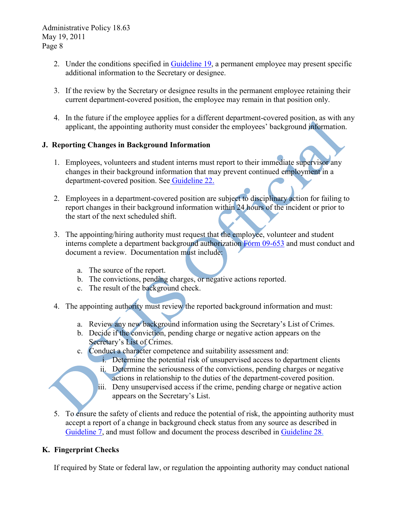- 2. Under the conditions specified in [Guideline 19,](http://one.dshs.wa.lcl/HR/Guidelines/Background%20Check%20Guidelines%20(November%202019).pdf) a permanent employee may present specific additional information to the Secretary or designee.
- 3. If the review by the Secretary or designee results in the permanent employee retaining their current department-covered position, the employee may remain in that position only.
- 4. In the future if the employee applies for a different department-covered position, as with any applicant, the appointing authority must consider the employees' background information.

### **J. Reporting Changes in Background Information**

- 1. Employees, volunteers and student interns must report to their immediate supervisor any changes in their background information that may prevent continued employment in a department-covered position. See [Guideline 22.](http://one.dshs.wa.lcl/HR/Guidelines/Background%20Check%20Guidelines%20(November%202019).pdf)
- 2. Employees in a department-covered position are subject to disciplinary action for failing to report changes in their background information within 24 hours of the incident or prior to the start of the next scheduled shift.
- 3. The appointing/hiring authority must request that the employee, volunteer and student interns complete a department background authorization [Form 09-653](http://isdapps.dshs.wa.gov/FormsMan/FormPicker.aspx) and must conduct and document a review. Documentation must include:
	- a. The source of the report.
	- b. The convictions, pending charges, or negative actions reported.
	- c. The result of the background check.
- 4. The appointing authority must review the reported background information and must:
	- a. Review any new background information using the Secretary's List of Crimes.
	- b. Decide if the conviction, pending charge or negative action appears on the Secretary's List of Crimes.
	- c. Conduct a character competence and suitability assessment and:
		- i. Determine the potential risk of unsupervised access to department clients
		- ii. Determine the seriousness of the convictions, pending charges or negative actions in relationship to the duties of the department-covered position.
		- iii. Deny unsupervised access if the crime, pending charge or negative action appears on the Secretary's List.
- 5. To ensure the safety of clients and reduce the potential of risk, the appointing authority must accept a report of a change in background check status from any source as described in [Guideline 7,](http://one.dshs.wa.lcl/HR/Guidelines/Background%20Check%20Guidelines%20(November%202019).pdf) and must follow and document the process described in [Guideline 28.](http://one.dshs.wa.lcl/HR/Guidelines/Background%20Check%20Guidelines%20(November%202019).pdf)

## **K. Fingerprint Checks**

If required by State or federal law, or regulation the appointing authority may conduct national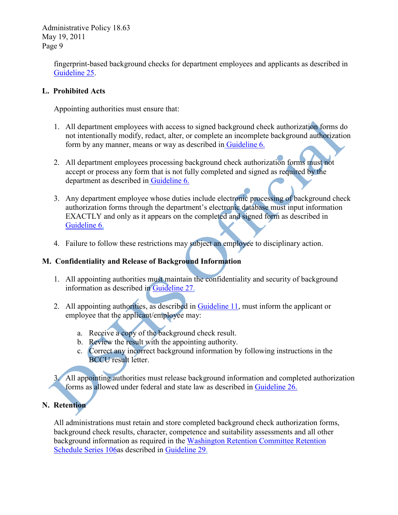> fingerprint-based background checks for department employees and applicants as described in [Guideline 25.](http://one.dshs.wa.lcl/HR/Guidelines/Background%20Check%20Guidelines%20(November%202019).pdf)

#### **L. Prohibited Acts**

Appointing authorities must ensure that:

- 1. All department employees with access to signed background check authorization forms do not intentionally modify, redact, alter, or complete an incomplete background authorization form by any manner, means or way as described in [Guideline 6.](http://one.dshs.wa.lcl/HR/Guidelines/Background%20Check%20Guidelines%20(November%202019).pdf)
- 2. All department employees processing background check authorization forms must not accept or process any form that is not fully completed and signed as required by the department as described in [Guideline 6.](http://one.dshs.wa.lcl/HR/Guidelines/Background%20Check%20Guidelines%20(November%202019).pdf)
- 3. Any department employee whose duties include electronic processing of background check authorization forms through the department's electronic database must input information EXACTLY and only as it appears on the completed and signed form as described in [Guideline 6.](http://one.dshs.wa.lcl/HR/Guidelines/Background%20Check%20Guidelines%20(November%202019).pdf)
- 4. Failure to follow these restrictions may subject an employee to disciplinary action.

## **M. Confidentiality and Release of Background Information**

- 1. All appointing authorities must maintain the confidentiality and security of background information as described in [Guideline 27.](http://one.dshs.wa.lcl/HR/Guidelines/Background%20Check%20Guidelines%20(November%202019).pdf)
- 2. All appointing authorities, as described in [Guideline 11,](http://one.dshs.wa.lcl/HR/Guidelines/Background%20Check%20Guidelines%20(November%202019).pdf) must inform the applicant or employee that the applicant/employee may:
	- a. Receive a copy of the background check result.
	- b. Review the result with the appointing authority.
	- c. Correct any incorrect background information by following instructions in the BCCU result letter.

3. All appointing authorities must release background information and completed authorization forms as allowed under federal and state law as described in [Guideline 26.](http://one.dshs.wa.lcl/HR/Guidelines/Background%20Check%20Guidelines%20(November%202019).pdf)

## **N. Retention**

All administrations must retain and store completed background check authorization forms, background check results, character, competence and suitability assessments and all other background information as required in the [Washington Retention Committee Retention](http://one.dshs.wa.lcl/FS/Loss/Records/Documents/DSHSchedule.pdf)  [Schedule Series 106a](http://one.dshs.wa.lcl/FS/Loss/Records/Documents/DSHSchedule.pdf)s described in [Guideline 29.](http://hrd.dshs.wa.lcl/Top_Toolbar/Guidlines_and_Best_Practices/documents/background_check_guidelines.doc)